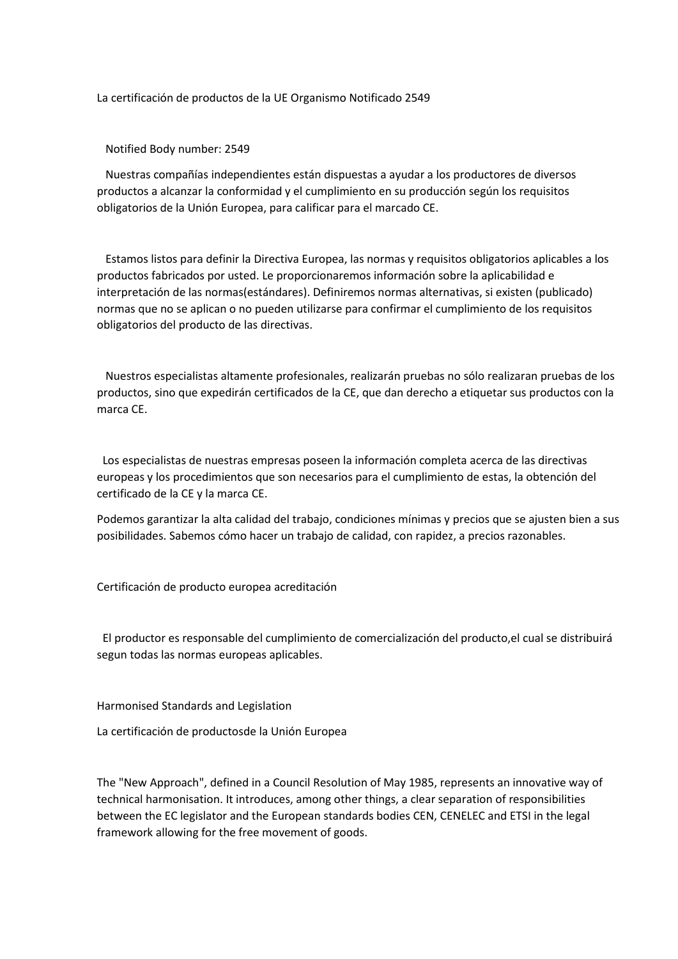La certificación de productos de la UE Organismo Notificado 2549

Notified Body number: 2549

 Nuestras compañías independientes están dispuestas a ayudar a los productores de diversos productos a alcanzar la conformidad y el cumplimiento en su producción según los requisitos obligatorios de la Unión Europea, para calificar para el marcado CE.

 Estamos listos para definir la Directiva Europea, las normas y requisitos obligatorios aplicables a los productos fabricados por usted. Le proporcionaremos información sobre la aplicabilidad e interpretación de las normas(estándares). Definiremos normas alternativas, si existen (publicado) normas que no se aplican o no pueden utilizarse para confirmar el cumplimiento de los requisitos obligatorios del producto de las directivas.

 Nuestros especialistas altamente profesionales, realizarán pruebas no sólo realizaran pruebas de los productos, sino que expedirán certificados de la CE, que dan derecho a etiquetar sus productos con la marca CE.

 Los especialistas de nuestras empresas poseen la información completa acerca de las directivas europeas y los procedimientos que son necesarios para el cumplimiento de estas, la obtención del certificado de la CE y la marca CE.

Podemos garantizar la alta calidad del trabajo, condiciones mínimas y precios que se ajusten bien a sus posibilidades. Sabemos cómo hacer un trabajo de calidad, con rapidez, a precios razonables.

Certificación de producto europea acreditación

 El productor es responsable del cumplimiento de comercialización del producto,el cual se distribuirá segun todas las normas europeas aplicables.

Harmonised Standards and Legislation

La certificación de productosde la Unión Europea

The "New Approach", defined in a Council Resolution of May 1985, represents an innovative way of technical harmonisation. It introduces, among other things, a clear separation of responsibilities between the EC legislator and the European standards bodies CEN, CENELEC and ETSI in the legal framework allowing for the free movement of goods.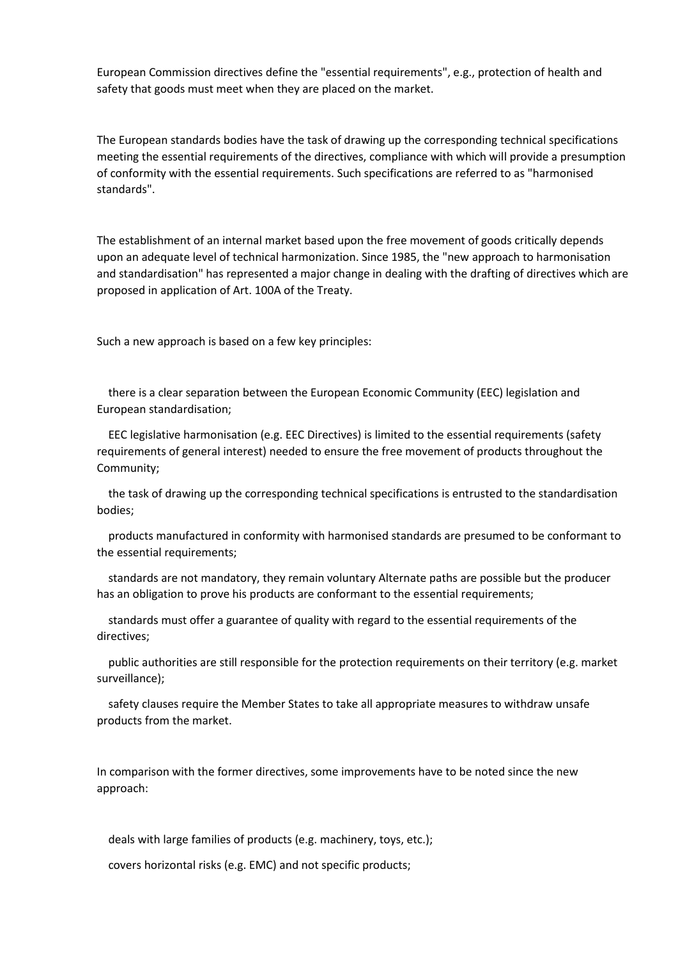European Commission directives define the "essential requirements", e.g., protection of health and safety that goods must meet when they are placed on the market.

The European standards bodies have the task of drawing up the corresponding technical specifications meeting the essential requirements of the directives, compliance with which will provide a presumption of conformity with the essential requirements. Such specifications are referred to as "harmonised standards".

The establishment of an internal market based upon the free movement of goods critically depends upon an adequate level of technical harmonization. Since 1985, the "new approach to harmonisation and standardisation" has represented a major change in dealing with the drafting of directives which are proposed in application of Art. 100A of the Treaty.

Such a new approach is based on a few key principles:

 there is a clear separation between the European Economic Community (EEC) legislation and European standardisation;

 EEC legislative harmonisation (e.g. EEC Directives) is limited to the essential requirements (safety requirements of general interest) needed to ensure the free movement of products throughout the Community;

 the task of drawing up the corresponding technical specifications is entrusted to the standardisation bodies;

 products manufactured in conformity with harmonised standards are presumed to be conformant to the essential requirements;

 standards are not mandatory, they remain voluntary Alternate paths are possible but the producer has an obligation to prove his products are conformant to the essential requirements;

 standards must offer a guarantee of quality with regard to the essential requirements of the directives;

 public authorities are still responsible for the protection requirements on their territory (e.g. market surveillance);

 safety clauses require the Member States to take all appropriate measures to withdraw unsafe products from the market.

In comparison with the former directives, some improvements have to be noted since the new approach:

deals with large families of products (e.g. machinery, toys, etc.);

covers horizontal risks (e.g. EMC) and not specific products;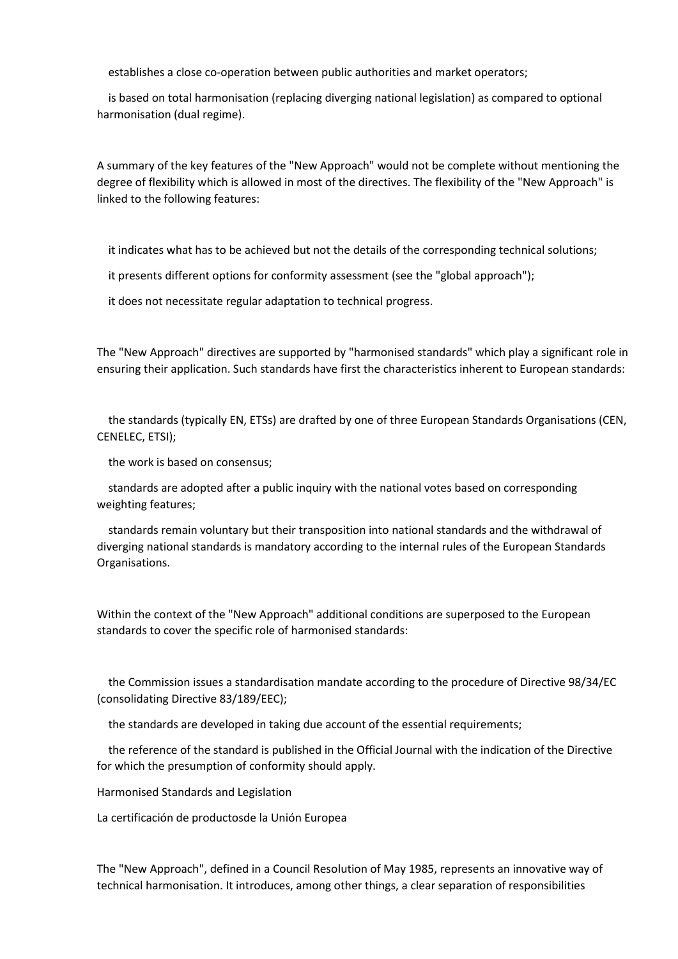establishes a close co-operation between public authorities and market operators;

 is based on total harmonisation (replacing diverging national legislation) as compared to optional harmonisation (dual regime).

A summary of the key features of the "New Approach" would not be complete without mentioning the degree of flexibility which is allowed in most of the directives. The flexibility of the "New Approach" is linked to the following features:

it indicates what has to be achieved but not the details of the corresponding technical solutions;

it presents different options for conformity assessment (see the "global approach");

it does not necessitate regular adaptation to technical progress.

The "New Approach" directives are supported by "harmonised standards" which play a significant role in ensuring their application. Such standards have first the characteristics inherent to European standards:

 the standards (typically EN, ETSs) are drafted by one of three European Standards Organisations (CEN, CENELEC, ETSI);

the work is based on consensus;

 standards are adopted after a public inquiry with the national votes based on corresponding weighting features;

 standards remain voluntary but their transposition into national standards and the withdrawal of diverging national standards is mandatory according to the internal rules of the European Standards Organisations.

Within the context of the "New Approach" additional conditions are superposed to the European standards to cover the specific role of harmonised standards:

 the Commission issues a standardisation mandate according to the procedure of Directive 98/34/EC (consolidating Directive 83/189/EEC);

the standards are developed in taking due account of the essential requirements;

 the reference of the standard is published in the Official Journal with the indication of the Directive for which the presumption of conformity should apply.

Harmonised Standards and Legislation

La certificación de productosde la Unión Europea

The "New Approach", defined in a Council Resolution of May 1985, represents an innovative way of technical harmonisation. It introduces, among other things, a clear separation of responsibilities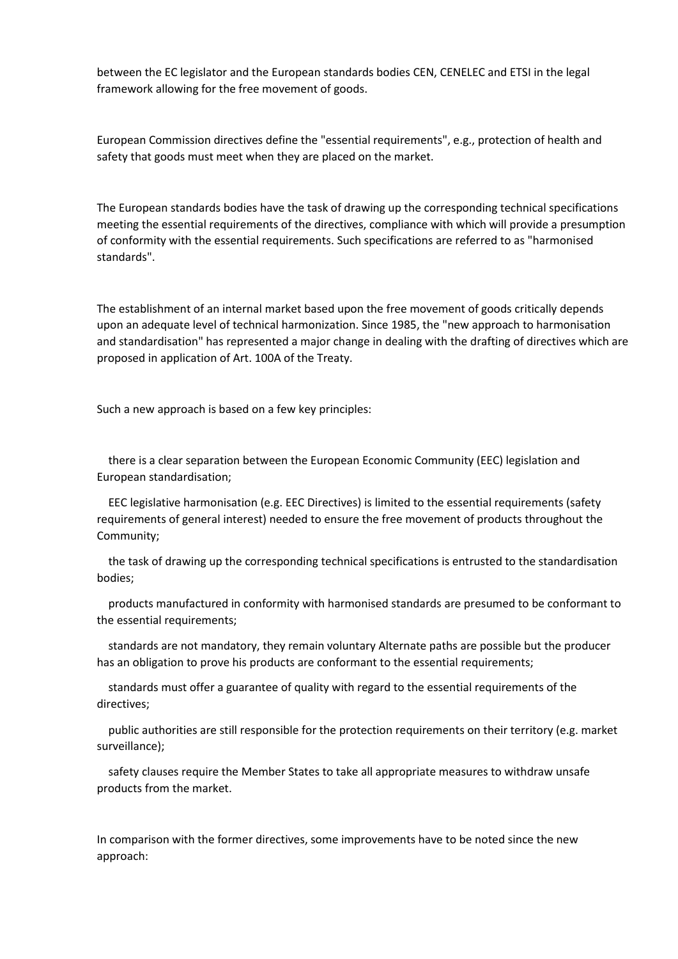between the EC legislator and the European standards bodies CEN, CENELEC and ETSI in the legal framework allowing for the free movement of goods.

European Commission directives define the "essential requirements", e.g., protection of health and safety that goods must meet when they are placed on the market.

The European standards bodies have the task of drawing up the corresponding technical specifications meeting the essential requirements of the directives, compliance with which will provide a presumption of conformity with the essential requirements. Such specifications are referred to as "harmonised standards".

The establishment of an internal market based upon the free movement of goods critically depends upon an adequate level of technical harmonization. Since 1985, the "new approach to harmonisation and standardisation" has represented a major change in dealing with the drafting of directives which are proposed in application of Art. 100A of the Treaty.

Such a new approach is based on a few key principles:

 there is a clear separation between the European Economic Community (EEC) legislation and European standardisation;

 EEC legislative harmonisation (e.g. EEC Directives) is limited to the essential requirements (safety requirements of general interest) needed to ensure the free movement of products throughout the Community;

 the task of drawing up the corresponding technical specifications is entrusted to the standardisation bodies;

 products manufactured in conformity with harmonised standards are presumed to be conformant to the essential requirements;

 standards are not mandatory, they remain voluntary Alternate paths are possible but the producer has an obligation to prove his products are conformant to the essential requirements;

 standards must offer a guarantee of quality with regard to the essential requirements of the directives;

 public authorities are still responsible for the protection requirements on their territory (e.g. market surveillance);

 safety clauses require the Member States to take all appropriate measures to withdraw unsafe products from the market.

In comparison with the former directives, some improvements have to be noted since the new approach: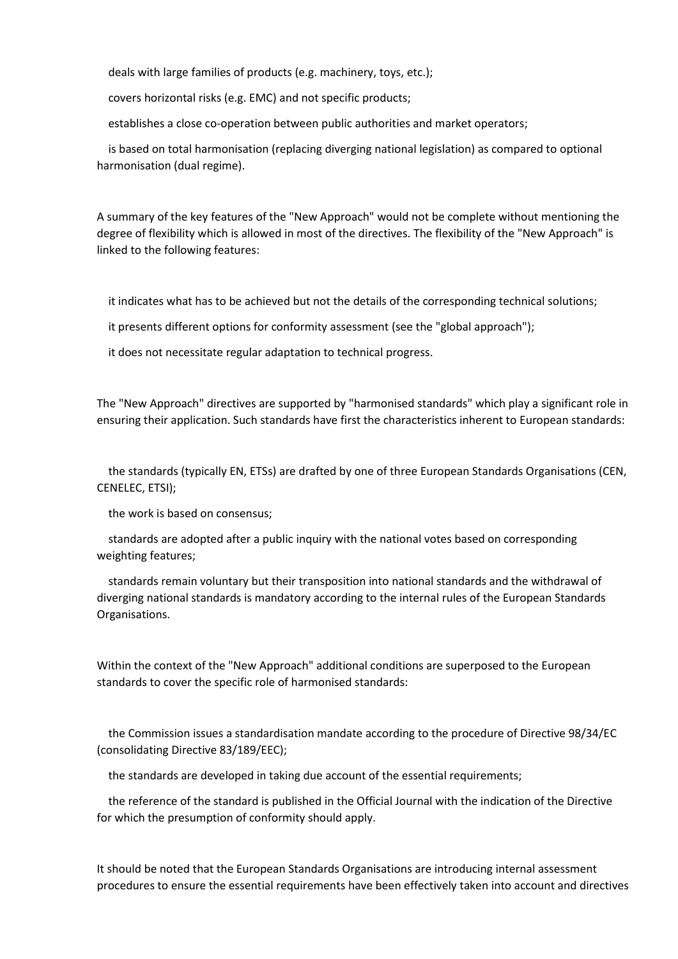deals with large families of products (e.g. machinery, toys, etc.);

covers horizontal risks (e.g. EMC) and not specific products;

establishes a close co-operation between public authorities and market operators;

 is based on total harmonisation (replacing diverging national legislation) as compared to optional harmonisation (dual regime).

A summary of the key features of the "New Approach" would not be complete without mentioning the degree of flexibility which is allowed in most of the directives. The flexibility of the "New Approach" is linked to the following features:

it indicates what has to be achieved but not the details of the corresponding technical solutions;

it presents different options for conformity assessment (see the "global approach");

it does not necessitate regular adaptation to technical progress.

The "New Approach" directives are supported by "harmonised standards" which play a significant role in ensuring their application. Such standards have first the characteristics inherent to European standards:

 the standards (typically EN, ETSs) are drafted by one of three European Standards Organisations (CEN, CENELEC, ETSI);

the work is based on consensus;

 standards are adopted after a public inquiry with the national votes based on corresponding weighting features;

 standards remain voluntary but their transposition into national standards and the withdrawal of diverging national standards is mandatory according to the internal rules of the European Standards Organisations.

Within the context of the "New Approach" additional conditions are superposed to the European standards to cover the specific role of harmonised standards:

 the Commission issues a standardisation mandate according to the procedure of Directive 98/34/EC (consolidating Directive 83/189/EEC);

the standards are developed in taking due account of the essential requirements;

 the reference of the standard is published in the Official Journal with the indication of the Directive for which the presumption of conformity should apply.

It should be noted that the European Standards Organisations are introducing internal assessment procedures to ensure the essential requirements have been effectively taken into account and directives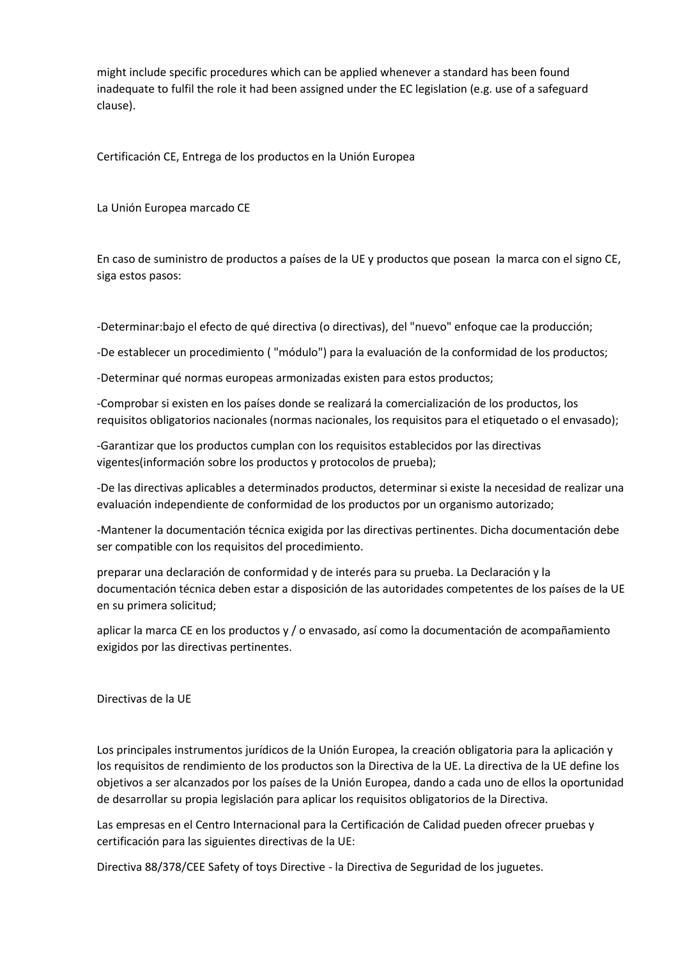might include specific procedures which can be applied whenever a standard has been found inadequate to fulfil the role it had been assigned under the EC legislation (e.g. use of a safeguard clause).

Certificación CE, Entrega de los productos en la Unión Europea

La Unión Europea marcado CE

En caso de suministro de productos a países de la UE y productos que posean la marca con el signo CE, siga estos pasos:

-Determinar:bajo el efecto de qué directiva (o directivas), del "nuevo" enfoque cae la producción;

-De establecer un procedimiento ( "módulo") para la evaluación de la conformidad de los productos;

-Determinar qué normas europeas armonizadas existen para estos productos;

-Comprobar si existen en los países donde se realizará la comercialización de los productos, los requisitos obligatorios nacionales (normas nacionales, los requisitos para el etiquetado o el envasado);

-Garantizar que los productos cumplan con los requisitos establecidos por las directivas vigentes(información sobre los productos y protocolos de prueba);

-De las directivas aplicables a determinados productos, determinar si existe la necesidad de realizar una evaluación independiente de conformidad de los productos por un organismo autorizado;

-Mantener la documentación técnica exigida por las directivas pertinentes. Dicha documentación debe ser compatible con los requisitos del procedimiento.

preparar una declaración de conformidad y de interés para su prueba. La Declaración y la documentación técnica deben estar a disposición de las autoridades competentes de los países de la UE en su primera solicitud;

aplicar la marca CE en los productos y / o envasado, así como la documentación de acompañamiento exigidos por las directivas pertinentes.

Directivas de la UE

Los principales instrumentos jurídicos de la Unión Europea, la creación obligatoria para la aplicación y los requisitos de rendimiento de los productos son la Directiva de la UE. La directiva de la UE define los objetivos a ser alcanzados por los países de la Unión Europea, dando a cada uno de ellos la oportunidad de desarrollar su propia legislación para aplicar los requisitos obligatorios de la Directiva.

Las empresas en el Centro Internacional para la Certificación de Calidad pueden ofrecer pruebas y certificación para las siguientes directivas de la UE:

Directiva 88/378/CEE Safety of toys Directive - la Directiva de Seguridad de los juguetes.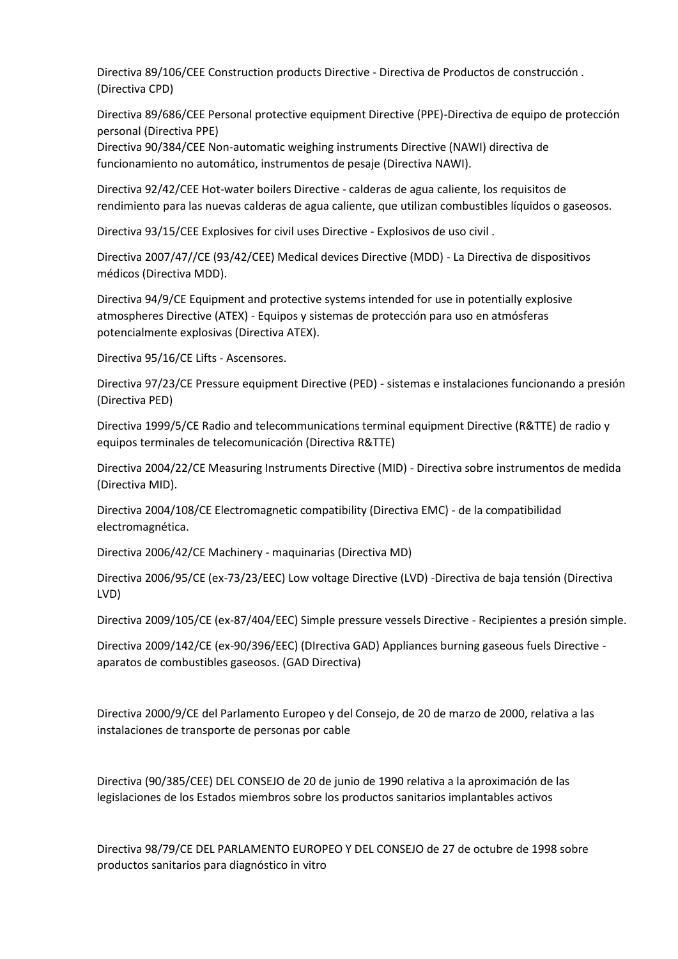Directiva 89/106/CEE Construction products Directive - Directiva de Productos de construcción . (Directiva CPD)

Directiva 89/686/CEE Personal protective equipment Directive (PPE)-Directiva de equipo de protección personal (Directiva PPE)

Directiva 90/384/CEE Non-automatic weighing instruments Directive (NAWI) directiva de funcionamiento no automático, instrumentos de pesaje (Directiva NAWI).

Directiva 92/42/CEE Hot-water boilers Directive - calderas de agua caliente, los requisitos de rendimiento para las nuevas calderas de agua caliente, que utilizan combustibles líquidos o gaseosos.

Directiva 93/15/CEE Explosives for civil uses Directive - Explosivos de uso civil .

Directiva 2007/47//CE (93/42/CEE) Medical devices Directive (MDD) - La Directiva de dispositivos médicos (Directiva MDD).

Directiva 94/9/CE Equipment and protective systems intended for use in potentially explosive atmospheres Directive (ATEX) - Equipos y sistemas de protección para uso en atmósferas potencialmente explosivas (Directiva ATEX).

Directiva 95/16/CE Lifts - Ascensores.

Directiva 97/23/CE Pressure equipment Directive (PED) - sistemas e instalaciones funcionando a presión (Directiva PED)

Directiva 1999/5/CE Radio and telecommunications terminal equipment Directive (R&TTE) de radio y equipos terminales de telecomunicación (Directiva R&TTE)

Directiva 2004/22/CE Measuring Instruments Directive (MID) - Directiva sobre instrumentos de medida (Directiva MID).

Directiva 2004/108/CE Electromagnetic compatibility (Directiva EMC) - de la compatibilidad electromagnética.

Directiva 2006/42/CE Machinery - maquinarias (Directiva MD)

Directiva 2006/95/CE (ex-73/23/EEC) Low voltage Directive (LVD) -Directiva de baja tensión (Directiva LVD)

Directiva 2009/105/CE (ex-87/404/EEC) Simple pressure vessels Directive - Recipientes a presión simple.

Directiva 2009/142/CE (ex-90/396/EEC) (DIrectiva GAD) Appliances burning gaseous fuels Directive aparatos de combustibles gaseosos. (GAD Directiva)

Directiva 2000/9/CE del Parlamento Europeo y del Consejo, de 20 de marzo de 2000, relativa a las instalaciones de transporte de personas por cable

Directiva (90/385/CEE) DEL CONSEJO de 20 de junio de 1990 relativa a la aproximación de las legislaciones de los Estados miembros sobre los productos sanitarios implantables activos

Directiva 98/79/CE DEL PARLAMENTO EUROPEO Y DEL CONSEJO de 27 de octubre de 1998 sobre productos sanitarios para diagnóstico in vitro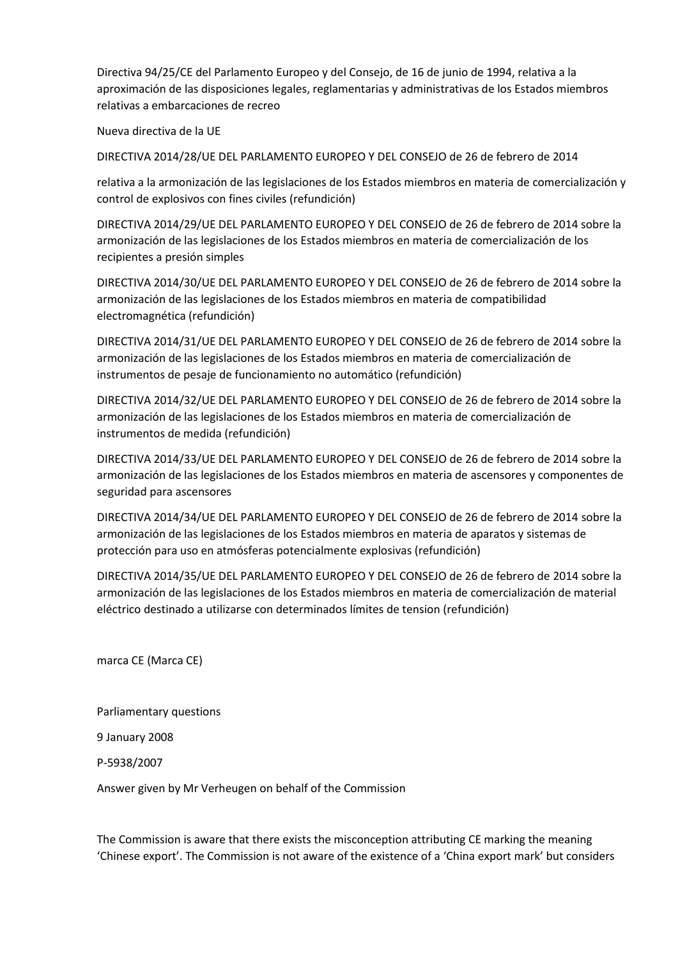Directiva 94/25/CE del Parlamento Europeo y del Consejo, de 16 de junio de 1994, relativa a la aproximación de las disposiciones legales, reglamentarias y administrativas de los Estados miembros relativas a embarcaciones de recreo

Nueva directiva de la UE

DIRECTIVA 2014/28/UE DEL PARLAMENTO EUROPEO Y DEL CONSEJO de 26 de febrero de 2014

relativa a la armonización de las legislaciones de los Estados miembros en materia de comercialización y control de explosivos con fines civiles (refundición)

DIRECTIVA 2014/29/UE DEL PARLAMENTO EUROPEO Y DEL CONSEJO de 26 de febrero de 2014 sobre la armonización de las legislaciones de los Estados miembros en materia de comercialización de los recipientes a presión simples

DIRECTIVA 2014/30/UE DEL PARLAMENTO EUROPEO Y DEL CONSEJO de 26 de febrero de 2014 sobre la armonización de las legislaciones de los Estados miembros en materia de compatibilidad electromagnética (refundición)

DIRECTIVA 2014/31/UE DEL PARLAMENTO EUROPEO Y DEL CONSEJO de 26 de febrero de 2014 sobre la armonización de las legislaciones de los Estados miembros en materia de comercialización de instrumentos de pesaje de funcionamiento no automático (refundición)

DIRECTIVA 2014/32/UE DEL PARLAMENTO EUROPEO Y DEL CONSEJO de 26 de febrero de 2014 sobre la armonización de las legislaciones de los Estados miembros en materia de comercialización de instrumentos de medida (refundición)

DIRECTIVA 2014/33/UE DEL PARLAMENTO EUROPEO Y DEL CONSEJO de 26 de febrero de 2014 sobre la armonización de las legislaciones de los Estados miembros en materia de ascensores y componentes de seguridad para ascensores

DIRECTIVA 2014/34/UE DEL PARLAMENTO EUROPEO Y DEL CONSEJO de 26 de febrero de 2014 sobre la armonización de las legislaciones de los Estados miembros en materia de aparatos y sistemas de protección para uso en atmósferas potencialmente explosivas (refundición)

DIRECTIVA 2014/35/UE DEL PARLAMENTO EUROPEO Y DEL CONSEJO de 26 de febrero de 2014 sobre la armonización de las legislaciones de los Estados miembros en materia de comercialización de material eléctrico destinado a utilizarse con determinados límites de tension (refundición)

marca CE (Marca CE)

Parliamentary questions

9 January 2008

P-5938/2007

Answer given by Mr Verheugen on behalf of the Commission

The Commission is aware that there exists the misconception attributing CE marking the meaning 'Chinese export'. The Commission is not aware of the existence of a 'China export mark' but considers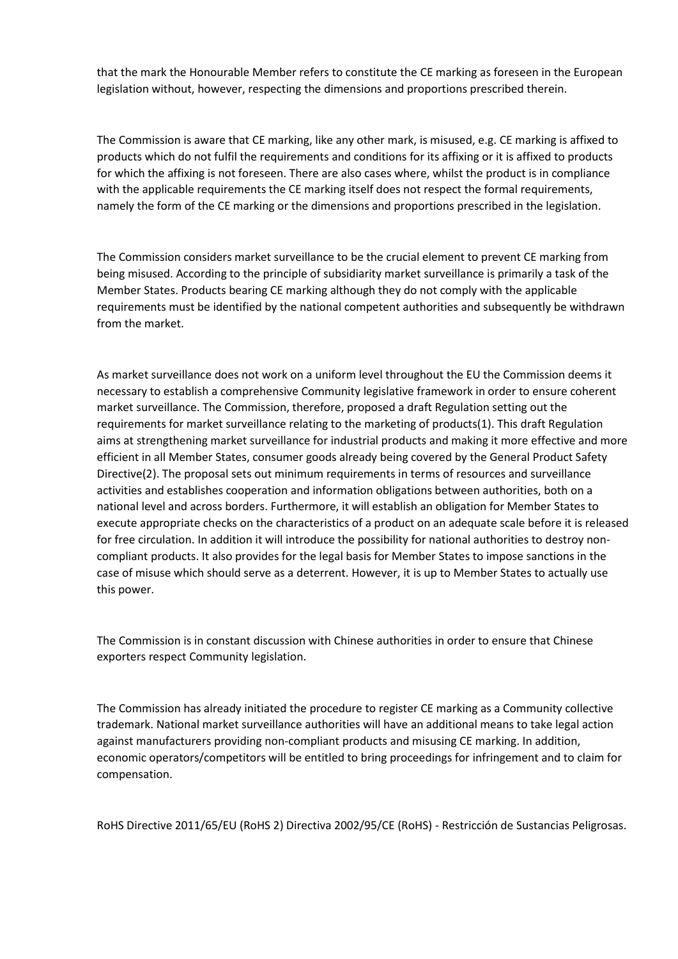that the mark the Honourable Member refers to constitute the CE marking as foreseen in the European legislation without, however, respecting the dimensions and proportions prescribed therein.

The Commission is aware that CE marking, like any other mark, is misused, e.g. CE marking is affixed to products which do not fulfil the requirements and conditions for its affixing or it is affixed to products for which the affixing is not foreseen. There are also cases where, whilst the product is in compliance with the applicable requirements the CE marking itself does not respect the formal requirements, namely the form of the CE marking or the dimensions and proportions prescribed in the legislation.

The Commission considers market surveillance to be the crucial element to prevent CE marking from being misused. According to the principle of subsidiarity market surveillance is primarily a task of the Member States. Products bearing CE marking although they do not comply with the applicable requirements must be identified by the national competent authorities and subsequently be withdrawn from the market.

As market surveillance does not work on a uniform level throughout the EU the Commission deems it necessary to establish a comprehensive Community legislative framework in order to ensure coherent market surveillance. The Commission, therefore, proposed a draft Regulation setting out the requirements for market surveillance relating to the marketing of products(1). This draft Regulation aims at strengthening market surveillance for industrial products and making it more effective and more efficient in all Member States, consumer goods already being covered by the General Product Safety Directive(2). The proposal sets out minimum requirements in terms of resources and surveillance activities and establishes cooperation and information obligations between authorities, both on a national level and across borders. Furthermore, it will establish an obligation for Member States to execute appropriate checks on the characteristics of a product on an adequate scale before it is released for free circulation. In addition it will introduce the possibility for national authorities to destroy noncompliant products. It also provides for the legal basis for Member States to impose sanctions in the case of misuse which should serve as a deterrent. However, it is up to Member States to actually use this power.

The Commission is in constant discussion with Chinese authorities in order to ensure that Chinese exporters respect Community legislation.

The Commission has already initiated the procedure to register CE marking as a Community collective trademark. National market surveillance authorities will have an additional means to take legal action against manufacturers providing non-compliant products and misusing CE marking. In addition, economic operators/competitors will be entitled to bring proceedings for infringement and to claim for compensation.

RoHS Directive 2011/65/EU (RoHS 2) Directiva 2002/95/CE (RoHS) - Restricción de Sustancias Peligrosas.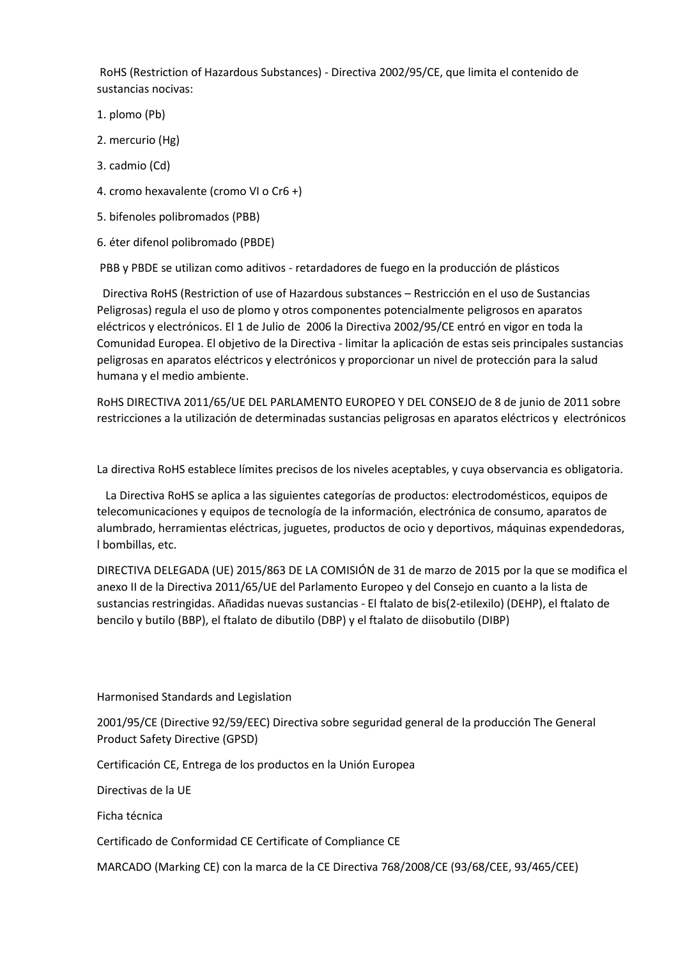RoHS (Restriction of Hazardous Substances) - Directiva 2002/95/CE, que limita el contenido de sustancias nocivas:

- 1. plomo (Pb)
- 2. mercurio (Hg)
- 3. cadmio (Cd)
- 4. cromo hexavalente (cromo VI o Cr6 +)
- 5. bifenoles polibromados (PBB)
- 6. éter difenol polibromado (PBDE)

PBB y PBDE se utilizan como aditivos - retardadores de fuego en la producción de plásticos

 Directiva RoHS (Restriction of use of Hazardous substances – Restricción en el uso de Sustancias Peligrosas) regula el uso de plomo y otros componentes potencialmente peligrosos en aparatos eléctricos y electrónicos. El 1 de Julio de 2006 la Directiva 2002/95/CE entró en vigor en toda la Comunidad Europea. El objetivo de la Directiva - limitar la aplicación de estas seis principales sustancias peligrosas en aparatos eléctricos y electrónicos y proporcionar un nivel de protección para la salud humana y el medio ambiente.

RoHS DIRECTIVA 2011/65/UE DEL PARLAMENTO EUROPEO Y DEL CONSEJO de 8 de junio de 2011 sobre restricciones a la utilización de determinadas sustancias peligrosas en aparatos eléctricos y electrónicos

La directiva RoHS establece límites precisos de los niveles aceptables, y cuya observancia es obligatoria.

 La Directiva RoHS se aplica a las siguientes categorías de productos: electrodomésticos, equipos de telecomunicaciones y equipos de tecnología de la información, electrónica de consumo, aparatos de alumbrado, herramientas eléctricas, juguetes, productos de ocio y deportivos, máquinas expendedoras, l bombillas, etc.

DIRECTIVA DELEGADA (UE) 2015/863 DE LA COMISIÓN de 31 de marzo de 2015 por la que se modifica el anexo II de la Directiva 2011/65/UE del Parlamento Europeo y del Consejo en cuanto a la lista de sustancias restringidas. Añadidas nuevas sustancias - El ftalato de bis(2-etilexilo) (DEHP), el ftalato de bencilo y butilo (BBP), el ftalato de dibutilo (DBP) y el ftalato de diisobutilo (DIBP)

Harmonised Standards and Legislation

2001/95/CE (Directive 92/59/EEC) Directiva sobre seguridad general de la producción The General Product Safety Directive (GPSD)

Certificación CE, Entrega de los productos en la Unión Europea

Directivas de la UE

Ficha técnica

Certificado de Conformidad CE Certificate of Compliance CE

MARCADO (Marking CE) con la marca de la CE Directiva 768/2008/CE (93/68/CEE, 93/465/CEE)